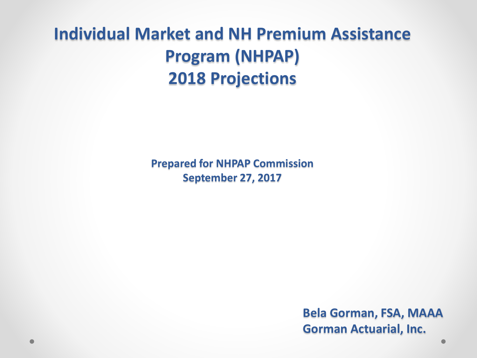#### **Individual Market and NH Premium Assistance Program (NHPAP) 2018 Projections**

**Prepared for NHPAP Commission September 27, 2017** 

> **Bela Gorman, FSA, MAAA Gorman Actuarial, Inc.**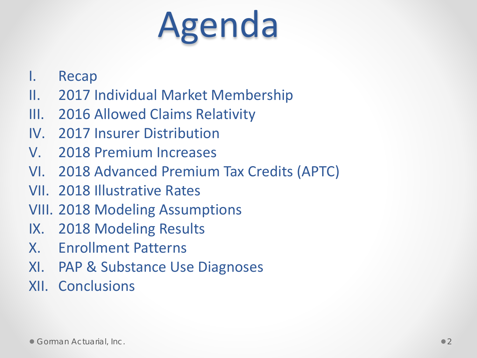# Agenda

- I. Recap
- II. 2017 Individual Market Membership
- III. 2016 Allowed Claims Relativity
- IV. 2017 Insurer Distribution
- V. 2018 Premium Increases
- VI. 2018 Advanced Premium Tax Credits (APTC)
- VII. 2018 Illustrative Rates
- VIII. 2018 Modeling Assumptions
- IX. 2018 Modeling Results
- X. Enrollment Patterns
- XI. PAP & Substance Use Diagnoses
- XII. Conclusions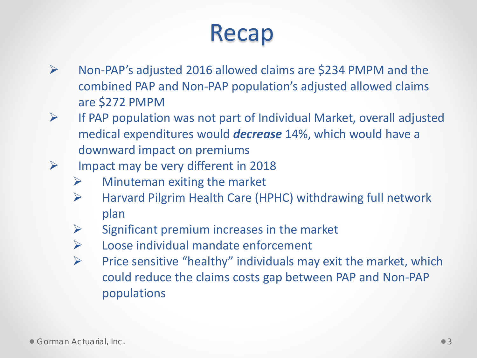#### Recap

- $\triangleright$  Non-PAP's adjusted 2016 allowed claims are \$234 PMPM and the combined PAP and Non-PAP population's adjusted allowed claims are \$272 PMPM
- $\triangleright$  If PAP population was not part of Individual Market, overall adjusted medical expenditures would *decrease* 14%, which would have a downward impact on premiums
- $\triangleright$  Impact may be very different in 2018
	- $\triangleright$  Minuteman exiting the market
	- $\triangleright$  Harvard Pilgrim Health Care (HPHC) withdrawing full network plan
	- $\triangleright$  Significant premium increases in the market
	- $\triangleright$  Loose individual mandate enforcement
	- $\triangleright$  Price sensitive "healthy" individuals may exit the market, which could reduce the claims costs gap between PAP and Non-PAP populations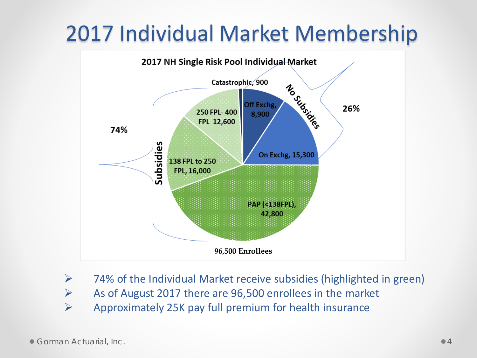#### 2017 Individual Market Membership



- $\triangleright$  74% of the Individual Market receive subsidies (highlighted in green)
- $\triangleright$  As of August 2017 there are 96,500 enrollees in the market
- $\triangleright$  Approximately 25K pay full premium for health insurance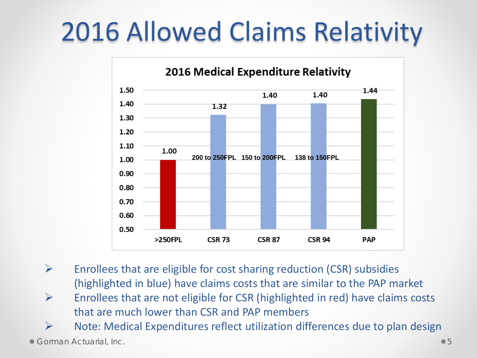### 2016 Allowed Claims Relativity



- $\triangleright$  Enrollees that are eligible for cost sharing reduction (CSR) subsidies (highlighted in blue) have claims costs that are similar to the PAP market
- $\triangleright$  Enrollees that are not eligible for CSR (highlighted in red) have claims costs that are much lower than CSR and PAP members

 $\triangleright$  Note: Medical Expenditures reflect utilization differences due to plan design

 $\bullet$  Gorman Actuarial, Inc.  $\bullet$  5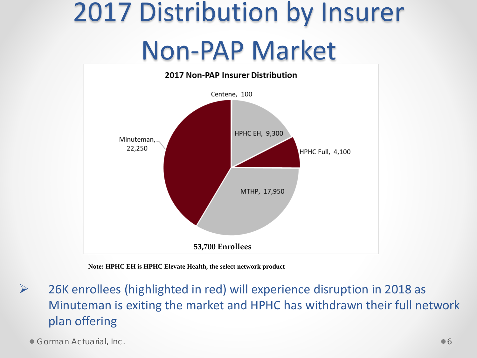### 2017 Distribution by Insurer Non-PAP Market



**Note: HPHC EH is HPHC Elevate Health, the select network product**

 $\triangleright$  26K enrollees (highlighted in red) will experience disruption in 2018 as Minuteman is exiting the market and HPHC has withdrawn their full network plan offering

**Corman Actuarial, Inc. Corman Actuarial, Inc. Community**  $\bullet$  6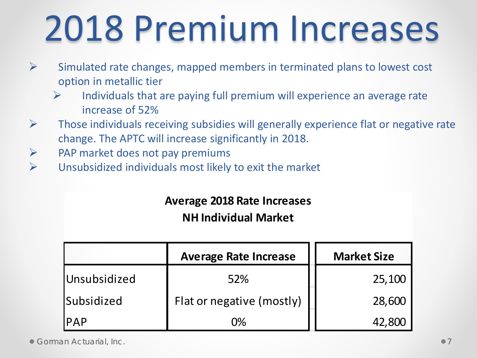# 2018 Premium Increases

- $\triangleright$  Simulated rate changes, mapped members in terminated plans to lowest cost option in metallic tier
	- Individuals that are paying full premium will experience an average rate increase of 52%
- $\triangleright$  Those individuals receiving subsidies will generally experience flat or negative rate change. The APTC will increase significantly in 2018.
- $\triangleright$  PAP market does not pay premiums
- $\triangleright$  Unsubsidized individuals most likely to exit the market

|  |  |  | <b>Average 2018 Rate Increases</b> |
|--|--|--|------------------------------------|
|--|--|--|------------------------------------|

**NH Individual Market**

|                   | <b>Average Rate Increase</b> | <b>Market Size</b> |  |
|-------------------|------------------------------|--------------------|--|
| Unsubsidized      | 52%                          | 25,100             |  |
| <b>Subsidized</b> | Flat or negative (mostly)    | 28,600             |  |
| <b>IPAP</b>       | በ%                           | 42 RNN             |  |

**Corman Actuarial, Inc.** 2008. The contract of the contract of the contract of the contract of the contract of the contract of the contract of the contract of the contract of the contract of the contract of the contract of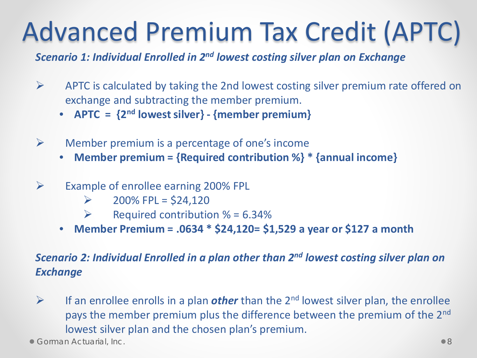### Advanced Premium Tax Credit (APTC)

*Scenario 1: Individual Enrolled in 2nd lowest costing silver plan on Exchange*

- $\triangleright$  APTC is calculated by taking the 2nd lowest costing silver premium rate offered on exchange and subtracting the member premium.
	- **APTC = {2nd lowest silver} - {member premium}**
- $\triangleright$  Member premium is a percentage of one's income
	- **Member premium = {Required contribution %} \* {annual income}**
- $\triangleright$  Example of enrollee earning 200% FPL
	- $\geq$  200% FPL = \$24,120
	- $\triangleright$  Required contribution % = 6.34%
	- **Member Premium = .0634 \* \$24,120= \$1,529 a year or \$127 a month**

#### *Scenario 2: Individual Enrolled in a plan other than 2nd lowest costing silver plan on Exchange*

 $\triangleright$  If an enrollee enrolls in a plan *other* than the 2<sup>nd</sup> lowest silver plan, the enrollee pays the member premium plus the difference between the premium of the 2nd lowest silver plan and the chosen plan's premium.

**Corman Actuarial, Inc. 88 and 2012 12:30 and 2013 12:30 and 2013 12:30 and 2013 12:30 and 2013 12:30 and 30 and 30 and 30 and 30 and 30 and 30 and 30 and 30 and 30 and 30 and 30 and 30 and 30 and 30 and 30 and 30 and 30 a**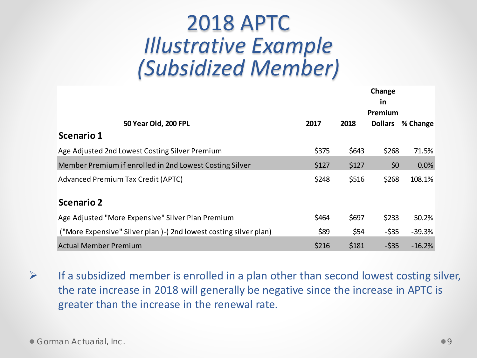#### 2018 APTC *Illustrative Example (Subsidized Member)*

|                                                                 |       | Change<br><u>in</u><br>Premium |                |          |
|-----------------------------------------------------------------|-------|--------------------------------|----------------|----------|
| 50 Year Old, 200 FPL                                            | 2017  | 2018                           | <b>Dollars</b> | % Change |
| <b>Scenario 1</b>                                               |       |                                |                |          |
| Age Adjusted 2nd Lowest Costing Silver Premium                  | \$375 | \$643                          | \$268          | 71.5%    |
| Member Premium if enrolled in 2nd Lowest Costing Silver         | \$127 | \$127                          | \$0            | 0.0%     |
| Advanced Premium Tax Credit (APTC)                              | \$248 | \$516                          | \$268          | 108.1%   |
| <b>Scenario 2</b>                                               |       |                                |                |          |
| Age Adjusted "More Expensive" Silver Plan Premium               | \$464 | \$697                          | \$233          | 50.2%    |
| ("More Expensive" Silver plan)-(2nd lowest costing silver plan) | \$89  | \$54                           | $-$ \$35       | $-39.3%$ |
| <b>Actual Member Premium</b>                                    | \$216 | \$181                          | $-535$         | $-16.2%$ |

 $\triangleright$  If a subsidized member is enrolled in a plan other than second lowest costing silver, the rate increase in 2018 will generally be negative since the increase in APTC is greater than the increase in the renewal rate.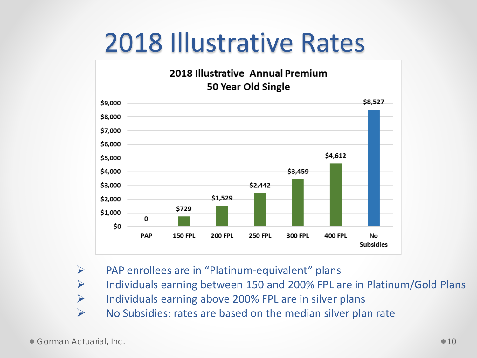### 2018 Illustrative Rates



- $\triangleright$  PAP enrollees are in "Platinum-equivalent" plans
- $\triangleright$  Individuals earning between 150 and 200% FPL are in Platinum/Gold Plans
- $\triangleright$  Individuals earning above 200% FPL are in silver plans
- $\triangleright$  No Subsidies: rates are based on the median silver plan rate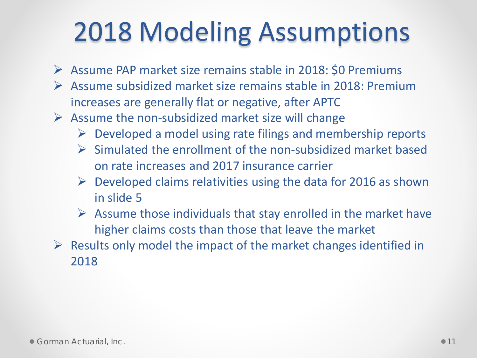### 2018 Modeling Assumptions

- $\triangleright$  Assume PAP market size remains stable in 2018: \$0 Premiums
- $\triangleright$  Assume subsidized market size remains stable in 2018: Premium increases are generally flat or negative, after APTC
- $\triangleright$  Assume the non-subsidized market size will change
	- $\triangleright$  Developed a model using rate filings and membership reports
	- $\triangleright$  Simulated the enrollment of the non-subsidized market based on rate increases and 2017 insurance carrier
	- $\triangleright$  Developed claims relativities using the data for 2016 as shown in slide 5
	- $\triangleright$  Assume those individuals that stay enrolled in the market have higher claims costs than those that leave the market
- $\triangleright$  Results only model the impact of the market changes identified in 2018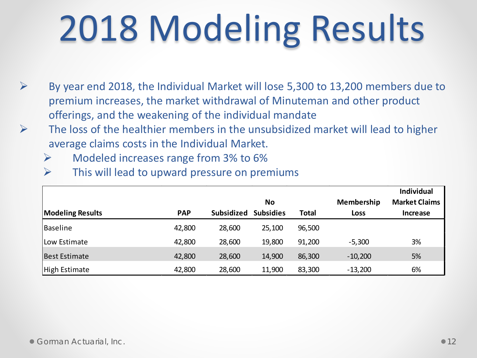# 2018 Modeling Results

- $\triangleright$  By year end 2018, the Individual Market will lose 5,300 to 13,200 members due to premium increases, the market withdrawal of Minuteman and other product offerings, and the weakening of the individual mandate
- $\triangleright$  The loss of the healthier members in the unsubsidized market will lead to higher average claims costs in the Individual Market.
	- $\triangleright$  Modeled increases range from 3% to 6%
	- $\triangleright$  This will lead to upward pressure on premiums

|                         |            |                   |                  |              |                   | <b>Individual</b>    |
|-------------------------|------------|-------------------|------------------|--------------|-------------------|----------------------|
|                         |            |                   | No               |              | <b>Membership</b> | <b>Market Claims</b> |
| <b>Modeling Results</b> | <b>PAP</b> | <b>Subsidized</b> | <b>Subsidies</b> | <b>Total</b> | <b>Loss</b>       | <b>Increase</b>      |
| Baseline                | 42,800     | 28,600            | 25,100           | 96,500       |                   |                      |
| Low Estimate            | 42,800     | 28,600            | 19,800           | 91,200       | $-5,300$          | 3%                   |
| <b>Best Estimate</b>    | 42,800     | 28,600            | 14,900           | 86,300       | $-10,200$         | 5%                   |
| High Estimate           | 42,800     | 28,600            | 11,900           | 83,300       | $-13,200$         | 6%                   |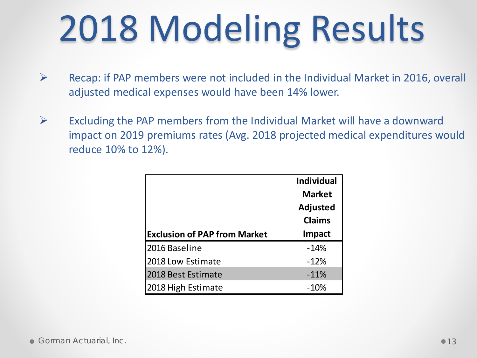# 2018 Modeling Results

- $\triangleright$  Recap: if PAP members were not included in the Individual Market in 2016, overall adjusted medical expenses would have been 14% lower.
- $\triangleright$  Excluding the PAP members from the Individual Market will have a downward impact on 2019 premiums rates (Avg. 2018 projected medical expenditures would reduce 10% to 12%).

|                                     | <b>Individual</b> |
|-------------------------------------|-------------------|
|                                     | <b>Market</b>     |
|                                     | <b>Adjusted</b>   |
|                                     | <b>Claims</b>     |
| <b>Exclusion of PAP from Market</b> | Impact            |
| 2016 Baseline                       | $-14%$            |
| 2018 Low Estimate                   | $-12%$            |
| 2018 Best Estimate                  | $-11%$            |
| 2018 High Estimate                  | $-10%$            |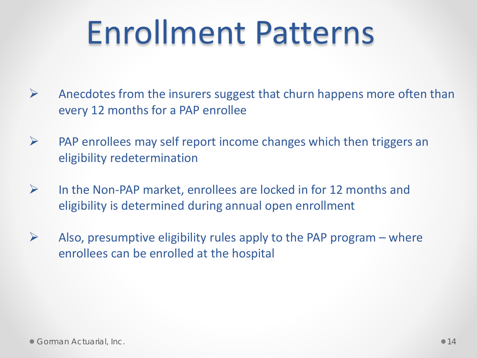# Enrollment Patterns

- $\triangleright$  Anecdotes from the insurers suggest that churn happens more often than every 12 months for a PAP enrollee
- $\triangleright$  PAP enrollees may self report income changes which then triggers an eligibility redetermination
- $\triangleright$  In the Non-PAP market, enrollees are locked in for 12 months and eligibility is determined during annual open enrollment
- $\triangleright$  Also, presumptive eligibility rules apply to the PAP program where enrollees can be enrolled at the hospital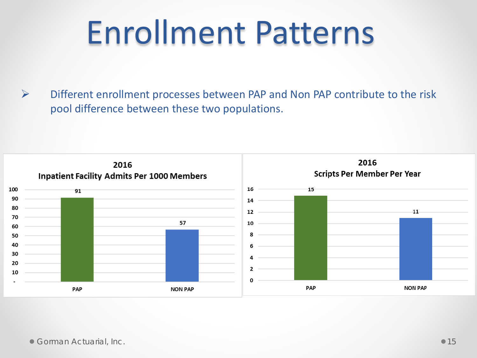## Enrollment Patterns

 $\triangleright$  Different enrollment processes between PAP and Non PAP contribute to the risk pool difference between these two populations.

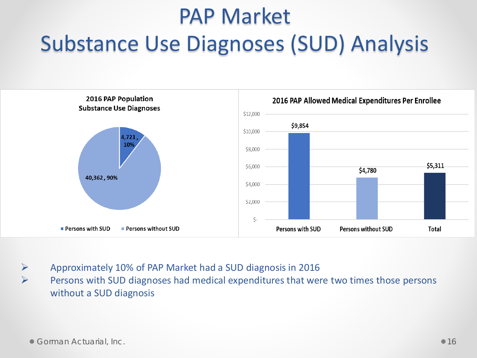#### PAP Market Substance Use Diagnoses (SUD) Analysis



 $\triangleright$  Approximately 10% of PAP Market had a SUD diagnosis in 2016  $\triangleright$  Persons with SUD diagnoses had medical expenditures that were two times those persons without a SUD diagnosis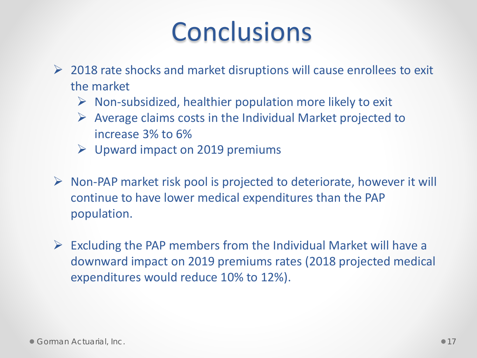### **Conclusions**

- $\geq$  2018 rate shocks and market disruptions will cause enrollees to exit the market
	- $\triangleright$  Non-subsidized, healthier population more likely to exit
	- $\triangleright$  Average claims costs in the Individual Market projected to increase 3% to 6%
	- $\triangleright$  Upward impact on 2019 premiums
- $\triangleright$  Non-PAP market risk pool is projected to deteriorate, however it will continue to have lower medical expenditures than the PAP population.
- $\triangleright$  Excluding the PAP members from the Individual Market will have a downward impact on 2019 premiums rates (2018 projected medical expenditures would reduce 10% to 12%).